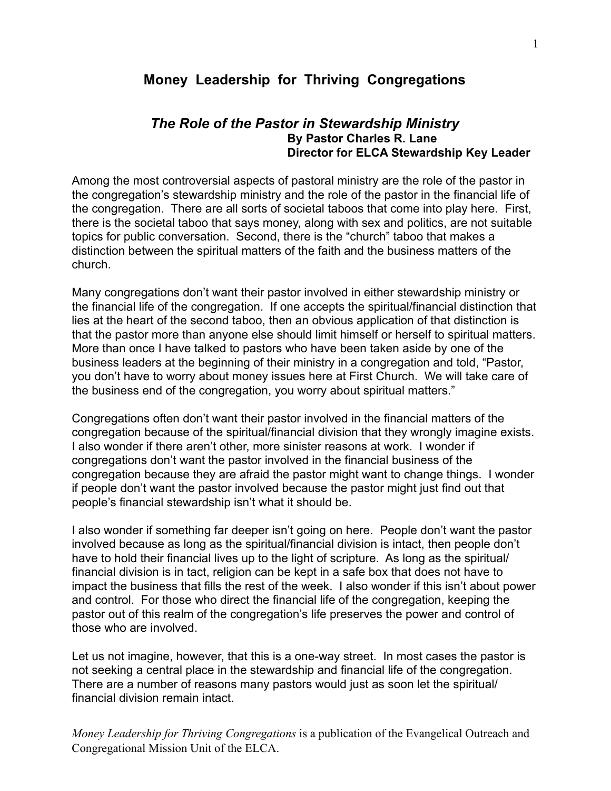## **Money Leadership for Thriving Congregations**

## *The Role of the Pastor in Stewardship Ministry* **By Pastor Charles R. Lane Director for ELCA Stewardship Key Leader**

Among the most controversial aspects of pastoral ministry are the role of the pastor in the congregation's stewardship ministry and the role of the pastor in the financial life of the congregation. There are all sorts of societal taboos that come into play here. First, there is the societal taboo that says money, along with sex and politics, are not suitable topics for public conversation. Second, there is the "church" taboo that makes a distinction between the spiritual matters of the faith and the business matters of the church.

Many congregations don't want their pastor involved in either stewardship ministry or the financial life of the congregation. If one accepts the spiritual/financial distinction that lies at the heart of the second taboo, then an obvious application of that distinction is that the pastor more than anyone else should limit himself or herself to spiritual matters. More than once I have talked to pastors who have been taken aside by one of the business leaders at the beginning of their ministry in a congregation and told, "Pastor, you don't have to worry about money issues here at First Church. We will take care of the business end of the congregation, you worry about spiritual matters."

Congregations often don't want their pastor involved in the financial matters of the congregation because of the spiritual/financial division that they wrongly imagine exists. I also wonder if there aren't other, more sinister reasons at work. I wonder if congregations don't want the pastor involved in the financial business of the congregation because they are afraid the pastor might want to change things. I wonder if people don't want the pastor involved because the pastor might just find out that people's financial stewardship isn't what it should be.

I also wonder if something far deeper isn't going on here. People don't want the pastor involved because as long as the spiritual/financial division is intact, then people don't have to hold their financial lives up to the light of scripture. As long as the spiritual/ financial division is in tact, religion can be kept in a safe box that does not have to impact the business that fills the rest of the week. I also wonder if this isn't about power and control. For those who direct the financial life of the congregation, keeping the pastor out of this realm of the congregation's life preserves the power and control of those who are involved.

Let us not imagine, however, that this is a one-way street. In most cases the pastor is not seeking a central place in the stewardship and financial life of the congregation. There are a number of reasons many pastors would just as soon let the spiritual/ financial division remain intact.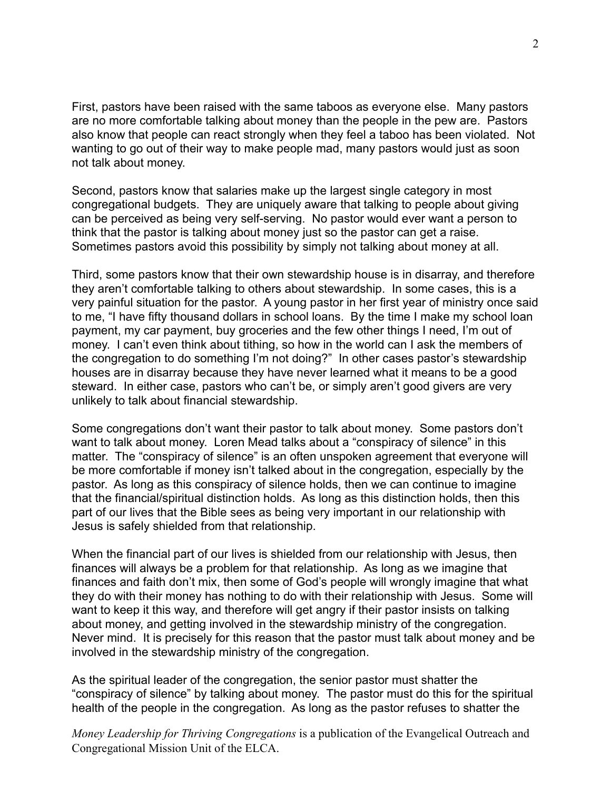First, pastors have been raised with the same taboos as everyone else. Many pastors are no more comfortable talking about money than the people in the pew are. Pastors also know that people can react strongly when they feel a taboo has been violated. Not wanting to go out of their way to make people mad, many pastors would just as soon not talk about money.

Second, pastors know that salaries make up the largest single category in most congregational budgets. They are uniquely aware that talking to people about giving can be perceived as being very self-serving. No pastor would ever want a person to think that the pastor is talking about money just so the pastor can get a raise. Sometimes pastors avoid this possibility by simply not talking about money at all.

Third, some pastors know that their own stewardship house is in disarray, and therefore they aren't comfortable talking to others about stewardship. In some cases, this is a very painful situation for the pastor. A young pastor in her first year of ministry once said to me, "I have fifty thousand dollars in school loans. By the time I make my school loan payment, my car payment, buy groceries and the few other things I need, I'm out of money. I can't even think about tithing, so how in the world can I ask the members of the congregation to do something I'm not doing?" In other cases pastor's stewardship houses are in disarray because they have never learned what it means to be a good steward. In either case, pastors who can't be, or simply aren't good givers are very unlikely to talk about financial stewardship.

Some congregations don't want their pastor to talk about money. Some pastors don't want to talk about money. Loren Mead talks about a "conspiracy of silence" in this matter. The "conspiracy of silence" is an often unspoken agreement that everyone will be more comfortable if money isn't talked about in the congregation, especially by the pastor. As long as this conspiracy of silence holds, then we can continue to imagine that the financial/spiritual distinction holds. As long as this distinction holds, then this part of our lives that the Bible sees as being very important in our relationship with Jesus is safely shielded from that relationship.

When the financial part of our lives is shielded from our relationship with Jesus, then finances will always be a problem for that relationship. As long as we imagine that finances and faith don't mix, then some of God's people will wrongly imagine that what they do with their money has nothing to do with their relationship with Jesus. Some will want to keep it this way, and therefore will get angry if their pastor insists on talking about money, and getting involved in the stewardship ministry of the congregation. Never mind. It is precisely for this reason that the pastor must talk about money and be involved in the stewardship ministry of the congregation.

As the spiritual leader of the congregation, the senior pastor must shatter the "conspiracy of silence" by talking about money. The pastor must do this for the spiritual health of the people in the congregation. As long as the pastor refuses to shatter the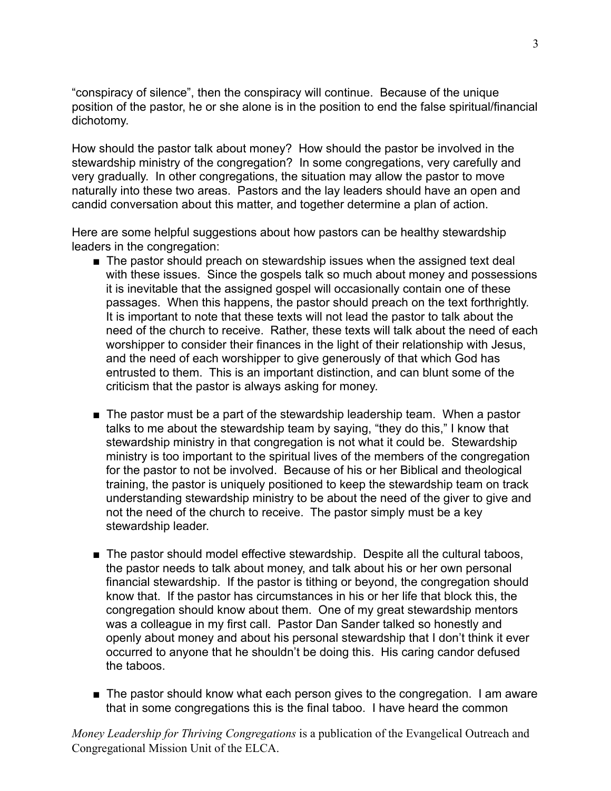"conspiracy of silence", then the conspiracy will continue. Because of the unique position of the pastor, he or she alone is in the position to end the false spiritual/financial dichotomy.

How should the pastor talk about money? How should the pastor be involved in the stewardship ministry of the congregation? In some congregations, very carefully and very gradually. In other congregations, the situation may allow the pastor to move naturally into these two areas. Pastors and the lay leaders should have an open and candid conversation about this matter, and together determine a plan of action.

Here are some helpful suggestions about how pastors can be healthy stewardship leaders in the congregation:

- The pastor should preach on stewardship issues when the assigned text deal with these issues. Since the gospels talk so much about money and possessions it is inevitable that the assigned gospel will occasionally contain one of these passages. When this happens, the pastor should preach on the text forthrightly. It is important to note that these texts will not lead the pastor to talk about the need of the church to receive. Rather, these texts will talk about the need of each worshipper to consider their finances in the light of their relationship with Jesus, and the need of each worshipper to give generously of that which God has entrusted to them. This is an important distinction, and can blunt some of the criticism that the pastor is always asking for money.
- The pastor must be a part of the stewardship leadership team. When a pastor talks to me about the stewardship team by saying, "they do this," I know that stewardship ministry in that congregation is not what it could be. Stewardship ministry is too important to the spiritual lives of the members of the congregation for the pastor to not be involved. Because of his or her Biblical and theological training, the pastor is uniquely positioned to keep the stewardship team on track understanding stewardship ministry to be about the need of the giver to give and not the need of the church to receive. The pastor simply must be a key stewardship leader.
- The pastor should model effective stewardship. Despite all the cultural taboos, the pastor needs to talk about money, and talk about his or her own personal financial stewardship. If the pastor is tithing or beyond, the congregation should know that. If the pastor has circumstances in his or her life that block this, the congregation should know about them. One of my great stewardship mentors was a colleague in my first call. Pastor Dan Sander talked so honestly and openly about money and about his personal stewardship that I don't think it ever occurred to anyone that he shouldn't be doing this. His caring candor defused the taboos.
- The pastor should know what each person gives to the congregation. I am aware that in some congregations this is the final taboo. I have heard the common